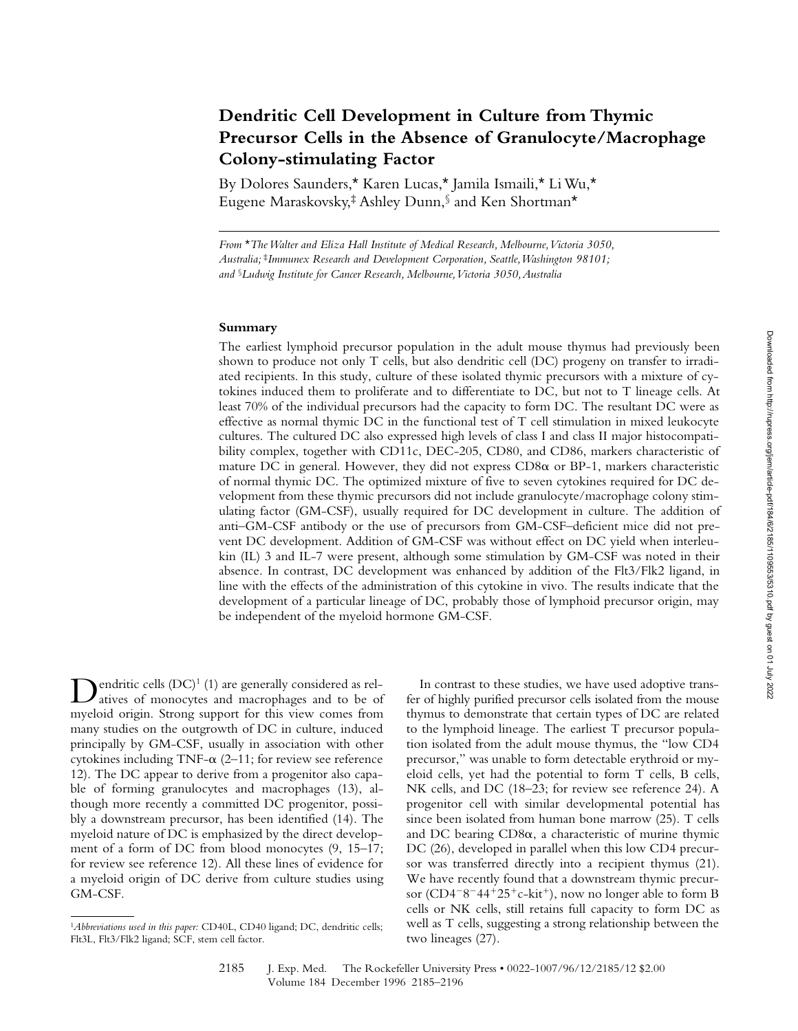# **Dendritic Cell Development in Culture from Thymic Precursor Cells in the Absence of Granulocyte/Macrophage Colony-stimulating Factor**

By Dolores Saunders,\* Karen Lucas,\* Jamila Ismaili,\* Li Wu,\* Eugene Maraskovsky,‡ Ashley Dunn,§ and Ken Shortman\*

*From* \**The Walter and Eliza Hall Institute of Medical Research, Melbourne, Victoria 3050, Australia;* ‡*Immunex Research and Development Corporation, Seattle, Washington 98101; and* §*Ludwig Institute for Cancer Research, Melbourne, Victoria 3050, Australia*

## **Summary**

The earliest lymphoid precursor population in the adult mouse thymus had previously been shown to produce not only T cells, but also dendritic cell (DC) progeny on transfer to irradiated recipients. In this study, culture of these isolated thymic precursors with a mixture of cytokines induced them to proliferate and to differentiate to DC, but not to T lineage cells. At least 70% of the individual precursors had the capacity to form DC. The resultant DC were as effective as normal thymic DC in the functional test of T cell stimulation in mixed leukocyte cultures. The cultured DC also expressed high levels of class I and class II major histocompatibility complex, together with CD11c, DEC-205, CD80, and CD86, markers characteristic of mature DC in general. However, they did not express  $CD8\alpha$  or BP-1, markers characteristic of normal thymic DC. The optimized mixture of five to seven cytokines required for DC development from these thymic precursors did not include granulocyte/macrophage colony stimulating factor (GM-CSF), usually required for DC development in culture. The addition of anti–GM-CSF antibody or the use of precursors from GM-CSF–deficient mice did not prevent DC development. Addition of GM-CSF was without effect on DC yield when interleukin (IL) 3 and IL-7 were present, although some stimulation by GM-CSF was noted in their absence. In contrast, DC development was enhanced by addition of the Flt3/Flk2 ligand, in line with the effects of the administration of this cytokine in vivo. The results indicate that the development of a particular lineage of DC, probably those of lymphoid precursor origin, may be independent of the myeloid hormone GM-CSF.

Dendritic cells (DC)<sup>1</sup> (1) are generally considered as rel-<br>atives of monocytes and macrophages and to be of myeloid origin. Strong support for this view comes from many studies on the outgrowth of DC in culture, induced principally by GM-CSF, usually in association with other cytokines including TNF- $\alpha$  (2–11; for review see reference 12). The DC appear to derive from a progenitor also capable of forming granulocytes and macrophages (13), although more recently a committed DC progenitor, possibly a downstream precursor, has been identified (14). The myeloid nature of DC is emphasized by the direct development of a form of DC from blood monocytes (9, 15–17; for review see reference 12). All these lines of evidence for a myeloid origin of DC derive from culture studies using GM-CSF.

In contrast to these studies, we have used adoptive transfer of highly purified precursor cells isolated from the mouse thymus to demonstrate that certain types of DC are related to the lymphoid lineage. The earliest T precursor population isolated from the adult mouse thymus, the "low CD4 precursor," was unable to form detectable erythroid or myeloid cells, yet had the potential to form T cells, B cells, NK cells, and DC (18–23; for review see reference 24). A progenitor cell with similar developmental potential has since been isolated from human bone marrow (25). T cells and DC bearing  $CD8\alpha$ , a characteristic of murine thymic DC (26), developed in parallel when this low CD4 precursor was transferred directly into a recipient thymus (21). We have recently found that a downstream thymic precursor (CD4<sup>-8-44+25+c-kit<sup>+</sup>), now no longer able to form B</sup> cells or NK cells, still retains full capacity to form DC as well as T cells, suggesting a strong relationship between the two lineages (27).

<sup>1</sup>*Abbreviations used in this paper:* CD40L, CD40 ligand; DC, dendritic cells; Flt3L, Flt3/Flk2 ligand; SCF, stem cell factor.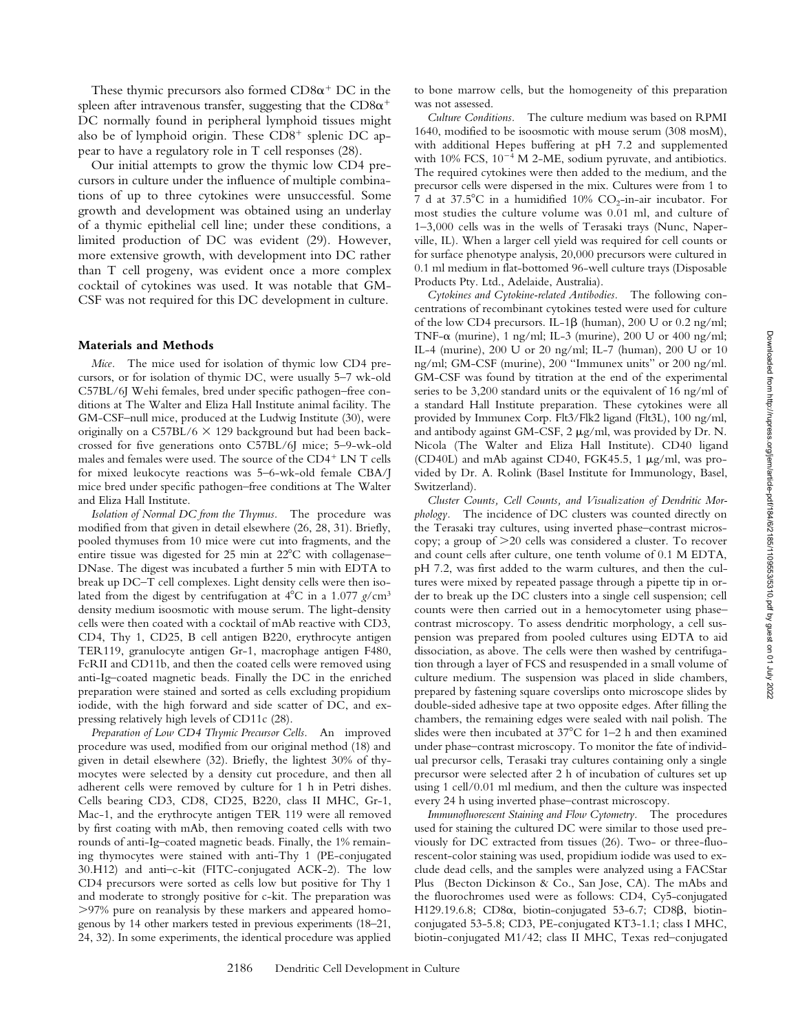These thymic precursors also formed  $CD8\alpha^+$  DC in the spleen after intravenous transfer, suggesting that the  $CD8\alpha^+$ DC normally found in peripheral lymphoid tissues might also be of lymphoid origin. These  $CD8^+$  splenic DC appear to have a regulatory role in T cell responses (28).

Our initial attempts to grow the thymic low CD4 precursors in culture under the influence of multiple combinations of up to three cytokines were unsuccessful. Some growth and development was obtained using an underlay of a thymic epithelial cell line; under these conditions, a limited production of DC was evident (29). However, more extensive growth, with development into DC rather than T cell progeny, was evident once a more complex cocktail of cytokines was used. It was notable that GM-CSF was not required for this DC development in culture.

#### **Materials and Methods**

*Mice.* The mice used for isolation of thymic low CD4 precursors, or for isolation of thymic DC, were usually 5–7 wk-old C57BL/6J Wehi females, bred under specific pathogen–free conditions at The Walter and Eliza Hall Institute animal facility. The GM-CSF–null mice, produced at the Ludwig Institute (30), were originally on a  $C57BL/6 \times 129$  background but had been backcrossed for five generations onto C57BL/6J mice; 5–9-wk-old males and females were used. The source of the  $CD4^+$  LN T cells for mixed leukocyte reactions was 5–6-wk-old female CBA/J mice bred under specific pathogen–free conditions at The Walter and Eliza Hall Institute.

*Isolation of Normal DC from the Thymus.* The procedure was modified from that given in detail elsewhere (26, 28, 31). Briefly, pooled thymuses from 10 mice were cut into fragments, and the entire tissue was digested for 25 min at  $22^{\circ}$ C with collagenase– DNase. The digest was incubated a further 5 min with EDTA to break up DC–T cell complexes. Light density cells were then isolated from the digest by centrifugation at  $4^{\circ}$ C in a 1.077  $g/cm^{3}$ density medium isoosmotic with mouse serum. The light-density cells were then coated with a cocktail of mAb reactive with CD3, CD4, Thy 1, CD25, B cell antigen B220, erythrocyte antigen TER119, granulocyte antigen Gr-1, macrophage antigen F480, FcRII and CD11b, and then the coated cells were removed using anti-Ig–coated magnetic beads. Finally the DC in the enriched preparation were stained and sorted as cells excluding propidium iodide, with the high forward and side scatter of DC, and expressing relatively high levels of CD11c (28).

*Preparation of Low CD4 Thymic Precursor Cells.* An improved procedure was used, modified from our original method (18) and given in detail elsewhere (32). Briefly, the lightest 30% of thymocytes were selected by a density cut procedure, and then all adherent cells were removed by culture for 1 h in Petri dishes. Cells bearing CD3, CD8, CD25, B220, class II MHC, Gr-1, Mac-1, and the erythrocyte antigen TER 119 were all removed by first coating with mAb, then removing coated cells with two rounds of anti-Ig–coated magnetic beads. Finally, the 1% remaining thymocytes were stained with anti-Thy 1 (PE-conjugated 30.H12) and anti–c-kit (FITC-conjugated ACK-2). The low CD4 precursors were sorted as cells low but positive for Thy 1 and moderate to strongly positive for c-kit. The preparation was .97% pure on reanalysis by these markers and appeared homogenous by 14 other markers tested in previous experiments (18–21, 24, 32). In some experiments, the identical procedure was applied

to bone marrow cells, but the homogeneity of this preparation was not assessed.

*Culture Conditions.* The culture medium was based on RPMI 1640, modified to be isoosmotic with mouse serum (308 mosM), with additional Hepes buffering at pH 7.2 and supplemented with  $10\%$  FCS,  $10^{-4}$  M 2-ME, sodium pyruvate, and antibiotics. The required cytokines were then added to the medium, and the precursor cells were dispersed in the mix. Cultures were from 1 to 7 d at 37.5°C in a humidified 10%  $CO_2$ -in-air incubator. For most studies the culture volume was 0.01 ml, and culture of 1–3,000 cells was in the wells of Terasaki trays (Nunc, Naperville, IL). When a larger cell yield was required for cell counts or for surface phenotype analysis, 20,000 precursors were cultured in 0.1 ml medium in flat-bottomed 96-well culture trays (Disposable Products Pty. Ltd., Adelaide, Australia).

*Cytokines and Cytokine-related Antibodies.* The following concentrations of recombinant cytokines tested were used for culture of the low CD4 precursors. IL-1 $\beta$  (human), 200 U or 0.2 ng/ml; TNF- $\alpha$  (murine), 1 ng/ml; IL-3 (murine), 200 U or 400 ng/ml; IL-4 (murine), 200 U or 20 ng/ml; IL-7 (human), 200 U or 10 ng/ml; GM-CSF (murine), 200 "Immunex units" or 200 ng/ml. GM-CSF was found by titration at the end of the experimental series to be 3,200 standard units or the equivalent of 16 ng/ml of a standard Hall Institute preparation. These cytokines were all provided by Immunex Corp. Flt3/Flk2 ligand (Flt3L), 100 ng/ml, and antibody against GM-CSF,  $2 \mu g/ml$ , was provided by Dr. N. Nicola (The Walter and Eliza Hall Institute). CD40 ligand (CD40L) and mAb against CD40, FGK45.5, 1  $\mu$ g/ml, was provided by Dr. A. Rolink (Basel Institute for Immunology, Basel, Switzerland).

*Cluster Counts, Cell Counts, and Visualization of Dendritic Morphology.* The incidence of DC clusters was counted directly on the Terasaki tray cultures, using inverted phase–contrast microscopy; a group of  $>20$  cells was considered a cluster. To recover and count cells after culture, one tenth volume of 0.1 M EDTA, pH 7.2, was first added to the warm cultures, and then the cultures were mixed by repeated passage through a pipette tip in order to break up the DC clusters into a single cell suspension; cell counts were then carried out in a hemocytometer using phase– contrast microscopy. To assess dendritic morphology, a cell suspension was prepared from pooled cultures using EDTA to aid dissociation, as above. The cells were then washed by centrifugation through a layer of FCS and resuspended in a small volume of culture medium. The suspension was placed in slide chambers, prepared by fastening square coverslips onto microscope slides by double-sided adhesive tape at two opposite edges. After filling the chambers, the remaining edges were sealed with nail polish. The slides were then incubated at  $37^{\circ}$ C for 1–2 h and then examined under phase–contrast microscopy. To monitor the fate of individual precursor cells, Terasaki tray cultures containing only a single precursor were selected after 2 h of incubation of cultures set up using 1 cell/0.01 ml medium, and then the culture was inspected every 24 h using inverted phase–contrast microscopy.

*Immunofluorescent Staining and Flow Cytometry.* The procedures used for staining the cultured DC were similar to those used previously for DC extracted from tissues (26). Two- or three-fluorescent-color staining was used, propidium iodide was used to exclude dead cells, and the samples were analyzed using a FACStar Plus<sup>®</sup> (Becton Dickinson & Co., San Jose, CA). The mAbs and the fluorochromes used were as follows: CD4, Cy5-conjugated H129.19.6.8; CD8 $\alpha$ , biotin-conjugated 53-6.7; CD8 $\beta$ , biotinconjugated 53-5.8; CD3, PE-conjugated KT3-1.1; class I MHC, biotin-conjugated M1/42; class II MHC, Texas red–conjugated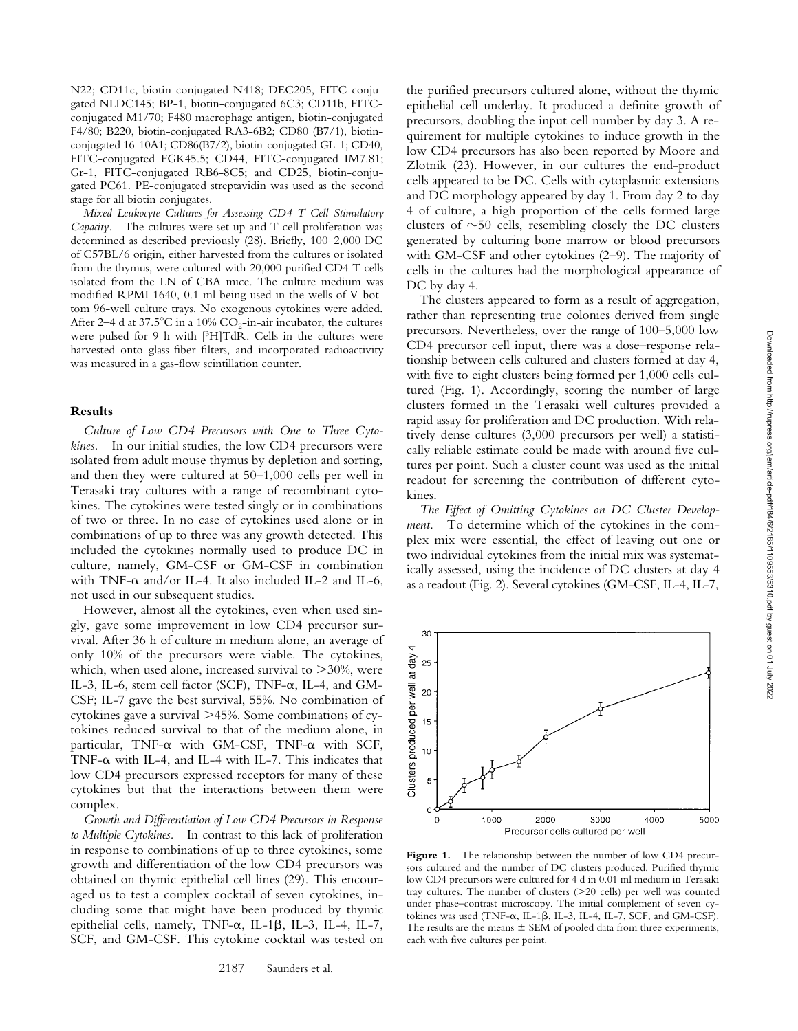Zlotnik (23). However, in our cultures the end-product cells appeared to be DC. Cells with cytoplasmic extensions and DC morphology appeared by day 1. From day 2 to day 4 of culture, a high proportion of the cells formed large clusters of  $\sim$ 50 cells, resembling closely the DC clusters generated by culturing bone marrow or blood precursors with GM-CSF and other cytokines (2–9). The majority of cells in the cultures had the morphological appearance of

The clusters appeared to form as a result of aggregation, rather than representing true colonies derived from single precursors. Nevertheless, over the range of 100–5,000 low CD4 precursor cell input, there was a dose–response relationship between cells cultured and clusters formed at day 4, with five to eight clusters being formed per 1,000 cells cultured (Fig. 1). Accordingly, scoring the number of large clusters formed in the Terasaki well cultures provided a rapid assay for proliferation and DC production. With relatively dense cultures (3,000 precursors per well) a statistically reliable estimate could be made with around five cultures per point. Such a cluster count was used as the initial readout for screening the contribution of different cytokines.

DC by day 4.

the purified precursors cultured alone, without the thymic epithelial cell underlay. It produced a definite growth of precursors, doubling the input cell number by day 3. A requirement for multiple cytokines to induce growth in the low CD4 precursors has also been reported by Moore and

*The Effect of Omitting Cytokines on DC Cluster Development.* To determine which of the cytokines in the complex mix were essential, the effect of leaving out one or two individual cytokines from the initial mix was systematically assessed, using the incidence of DC clusters at day 4 as a readout (Fig. 2). Several cytokines (GM-CSF, IL-4, IL-7,



N22; CD11c, biotin-conjugated N418; DEC205, FITC-conjugated NLDC145; BP-1, biotin-conjugated 6C3; CD11b, FITCconjugated M1/70; F480 macrophage antigen, biotin-conjugated F4/80; B220, biotin-conjugated RA3-6B2; CD80 (B7/1), biotinconjugated 16-10A1; CD86(B7/2), biotin-conjugated GL-1; CD40, FITC-conjugated FGK45.5; CD44, FITC-conjugated IM7.81; Gr-1, FITC-conjugated RB6-8C5; and CD25, biotin-conjugated PC61. PE-conjugated streptavidin was used as the second stage for all biotin conjugates.

*Mixed Leukocyte Cultures for Assessing CD4 T Cell Stimulatory Capacity.* The cultures were set up and T cell proliferation was determined as described previously (28). Briefly, 100–2,000 DC of C57BL/6 origin, either harvested from the cultures or isolated from the thymus, were cultured with 20,000 purified CD4 T cells isolated from the LN of CBA mice. The culture medium was modified RPMI 1640, 0.1 ml being used in the wells of V-bottom 96-well culture trays. No exogenous cytokines were added. After 2–4 d at 37.5°C in a 10%  $CO_2$ -in-air incubator, the cultures were pulsed for 9 h with [3H]TdR. Cells in the cultures were harvested onto glass-fiber filters, and incorporated radioactivity was measured in a gas-flow scintillation counter.

#### **Results**

*Culture of Low CD4 Precursors with One to Three Cytokines.* In our initial studies, the low CD4 precursors were isolated from adult mouse thymus by depletion and sorting, and then they were cultured at 50–1,000 cells per well in Terasaki tray cultures with a range of recombinant cytokines. The cytokines were tested singly or in combinations of two or three. In no case of cytokines used alone or in combinations of up to three was any growth detected. This included the cytokines normally used to produce DC in culture, namely, GM-CSF or GM-CSF in combination with TNF- $\alpha$  and/or IL-4. It also included IL-2 and IL-6, not used in our subsequent studies.

However, almost all the cytokines, even when used singly, gave some improvement in low CD4 precursor survival. After 36 h of culture in medium alone, an average of only 10% of the precursors were viable. The cytokines, which, when used alone, increased survival to  $>30\%$ , were IL-3, IL-6, stem cell factor (SCF), TNF-a, IL-4, and GM-CSF; IL-7 gave the best survival, 55%. No combination of cytokines gave a survival  $>45\%$ . Some combinations of cytokines reduced survival to that of the medium alone, in particular, TNF- $\alpha$  with GM-CSF, TNF- $\alpha$  with SCF, TNF- $\alpha$  with IL-4, and IL-4 with IL-7. This indicates that low CD4 precursors expressed receptors for many of these cytokines but that the interactions between them were complex.

*Growth and Differentiation of Low CD4 Precursors in Response to Multiple Cytokines.* In contrast to this lack of proliferation in response to combinations of up to three cytokines, some growth and differentiation of the low CD4 precursors was obtained on thymic epithelial cell lines (29). This encouraged us to test a complex cocktail of seven cytokines, including some that might have been produced by thymic epithelial cells, namely, TNF- $\alpha$ , IL-1 $\beta$ , IL-3, IL-4, IL-7, SCF, and GM-CSF. This cytokine cocktail was tested on



Figure 1. The relationship between the number of low CD4 precursors cultured and the number of DC clusters produced. Purified thymic low CD4 precursors were cultured for 4 d in 0.01 ml medium in Terasaki tray cultures. The number of clusters  $(>20$  cells) per well was counted under phase–contrast microscopy. The initial complement of seven cytokines was used (TNF- $\alpha$ , IL-1 $\beta$ , IL-3, IL-4, IL-7, SCF, and GM-CSF). The results are the means  $\pm$  SEM of pooled data from three experiments, each with five cultures per point.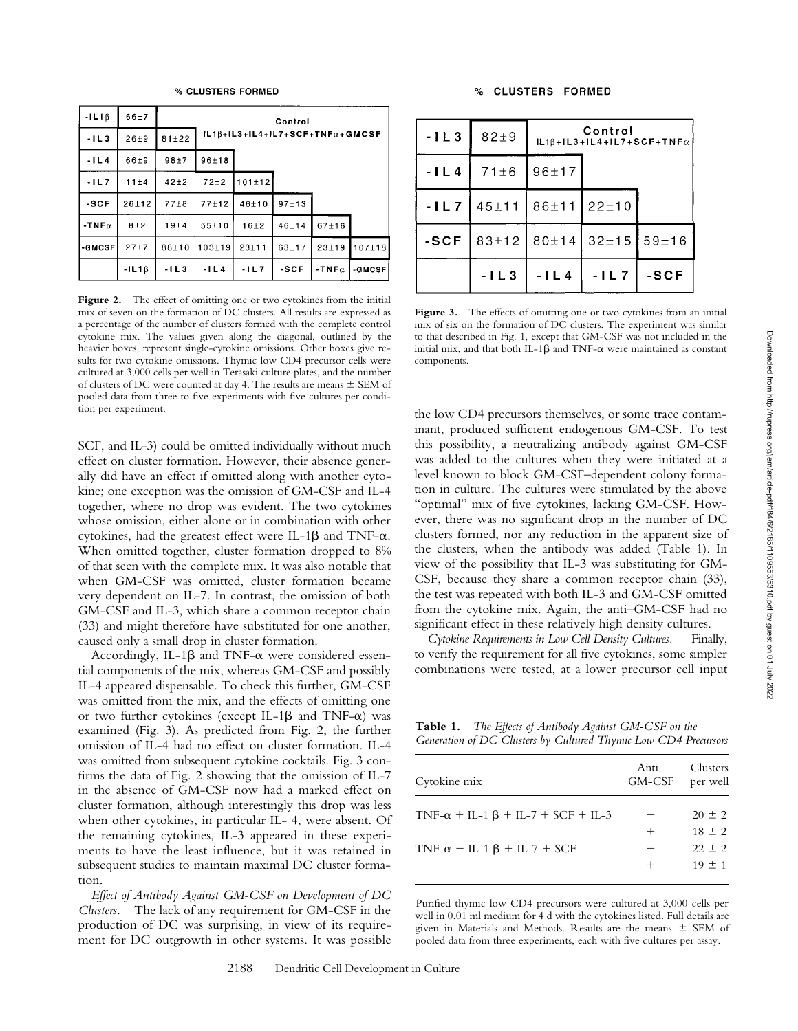| $-1L1B$ | $66 + 7$  |           |                                   |           | Control   |              |            |
|---------|-----------|-----------|-----------------------------------|-----------|-----------|--------------|------------|
| $-1L3$  | $26 + 9$  | $81 + 22$ | $IL1B+IL3+IL4+IL7+SCF+TNFα+GMCSF$ |           |           |              |            |
| $-1L4$  | $66 + 9$  | $98 + 7$  | $96 + 18$                         |           |           |              |            |
| $-1L7$  | 11±4      | $42 + 2$  | $72 + 2$                          | 101±12    |           |              |            |
| $-SCF$  | $26 + 12$ | $77 + 8$  | $77 + 12$                         | $46 + 10$ | $97 + 13$ |              |            |
| $-TNFα$ | $8 + 2$   | $19 + 4$  | $55 + 10$                         | $16 + 2$  | $46 + 14$ | $67 + 16$    |            |
| -GMCSF  | $27 + 7$  | $88 + 10$ | $103 + 19$                        | $23 + 11$ | $63 + 17$ | $23 + 19$    | $107 + 18$ |
|         | $-1L1B$   | $-11.3$   | $-1L4$                            | $-11.7$   | $-SCF$    | $-TNF\alpha$ | -GMCSF     |

Figure 2. The effect of omitting one or two cytokines from the initial mix of seven on the formation of DC clusters. All results are expressed as a percentage of the number of clusters formed with the complete control cytokine mix. The values given along the diagonal, outlined by the heavier boxes, represent single-cytokine omissions. Other boxes give results for two cytokine omissions. Thymic low CD4 precursor cells were cultured at 3,000 cells per well in Terasaki culture plates, and the number of clusters of DC were counted at day 4. The results are means  $\pm$  SEM of pooled data from three to five experiments with five cultures per condition per experiment.

SCF, and IL-3) could be omitted individually without much effect on cluster formation. However, their absence generally did have an effect if omitted along with another cytokine; one exception was the omission of GM-CSF and IL-4 together, where no drop was evident. The two cytokines whose omission, either alone or in combination with other cytokines, had the greatest effect were IL-1 $\beta$  and TNF- $\alpha$ . When omitted together, cluster formation dropped to 8% of that seen with the complete mix. It was also notable that when GM-CSF was omitted, cluster formation became very dependent on IL-7. In contrast, the omission of both GM-CSF and IL-3, which share a common receptor chain (33) and might therefore have substituted for one another, caused only a small drop in cluster formation.

Accordingly, IL-1 $\beta$  and TNF- $\alpha$  were considered essential components of the mix, whereas GM-CSF and possibly IL-4 appeared dispensable. To check this further, GM-CSF was omitted from the mix, and the effects of omitting one or two further cytokines (except IL-1 $\beta$  and TNF- $\alpha$ ) was examined (Fig. 3). As predicted from Fig. 2, the further omission of IL-4 had no effect on cluster formation. IL-4 was omitted from subsequent cytokine cocktails. Fig. 3 confirms the data of Fig. 2 showing that the omission of IL-7 in the absence of GM-CSF now had a marked effect on cluster formation, although interestingly this drop was less when other cytokines, in particular IL- 4, were absent. Of the remaining cytokines, IL-3 appeared in these experiments to have the least influence, but it was retained in subsequent studies to maintain maximal DC cluster formation.

*Effect of Antibody Against GM-CSF on Development of DC Clusters.* The lack of any requirement for GM-CSF in the production of DC was surprising, in view of its requirement for DC outgrowth in other systems. It was possible

| $-1L3$ | $82+9$    | Control<br>$ L1\beta+ L3+ L4+ L7+SCF+TNF\alpha $ |                                            |      |
|--------|-----------|--------------------------------------------------|--------------------------------------------|------|
| $-1L4$ | $71\pm 6$ | 96±17                                            |                                            |      |
| $-1L7$ |           | $45 \pm 11$ 86 ± 11 22 ± 10                      |                                            |      |
| -SCF   |           |                                                  | $83\pm12$ 80 $\pm14$ 32 $\pm15$ 59 $\pm16$ |      |
|        | $-1L3$    | $-1L4$                                           | $-1L7$                                     | -SCF |

Figure 3. The effects of omitting one or two cytokines from an initial mix of six on the formation of DC clusters. The experiment was similar to that described in Fig. 1, except that GM-CSF was not included in the initial mix, and that both IL-1 $\beta$  and TNF- $\alpha$  were maintained as constant components.

the low CD4 precursors themselves, or some trace contaminant, produced sufficient endogenous GM-CSF. To test this possibility, a neutralizing antibody against GM-CSF was added to the cultures when they were initiated at a level known to block GM-CSF–dependent colony formation in culture. The cultures were stimulated by the above "optimal" mix of five cytokines, lacking GM-CSF. However, there was no significant drop in the number of DC clusters formed, nor any reduction in the apparent size of the clusters, when the antibody was added (Table 1). In view of the possibility that IL-3 was substituting for GM-CSF, because they share a common receptor chain (33), the test was repeated with both IL-3 and GM-CSF omitted from the cytokine mix. Again, the anti–GM-CSF had no significant effect in these relatively high density cultures.

*Cytokine Requirements in Low Cell Density Cultures.* Finally, to verify the requirement for all five cytokines, some simpler combinations were tested, at a lower precursor cell input

**Table 1.** *The Effects of Antibody Against GM-CSF on the Generation of DC Clusters by Cultured Thymic Low CD4 Precursors*

| Cytokine mix                                  | Anti—<br>GM-CSF | Clusters<br>per well |
|-----------------------------------------------|-----------------|----------------------|
| $TNF-\alpha + IL-1 \beta + IL-7 + SCF + IL-3$ |                 | $20 \pm 2$           |
|                                               | $^{+}$          | $18 \pm 2$           |
| $TNF-\alpha + IL-1 \beta + IL-7 + SCF$        |                 | $22 + 2$             |
|                                               |                 | $19 + 1$             |

Purified thymic low CD4 precursors were cultured at 3,000 cells per well in 0.01 ml medium for 4 d with the cytokines listed. Full details are given in Materials and Methods. Results are the means  $\pm$  SEM of pooled data from three experiments, each with five cultures per assay.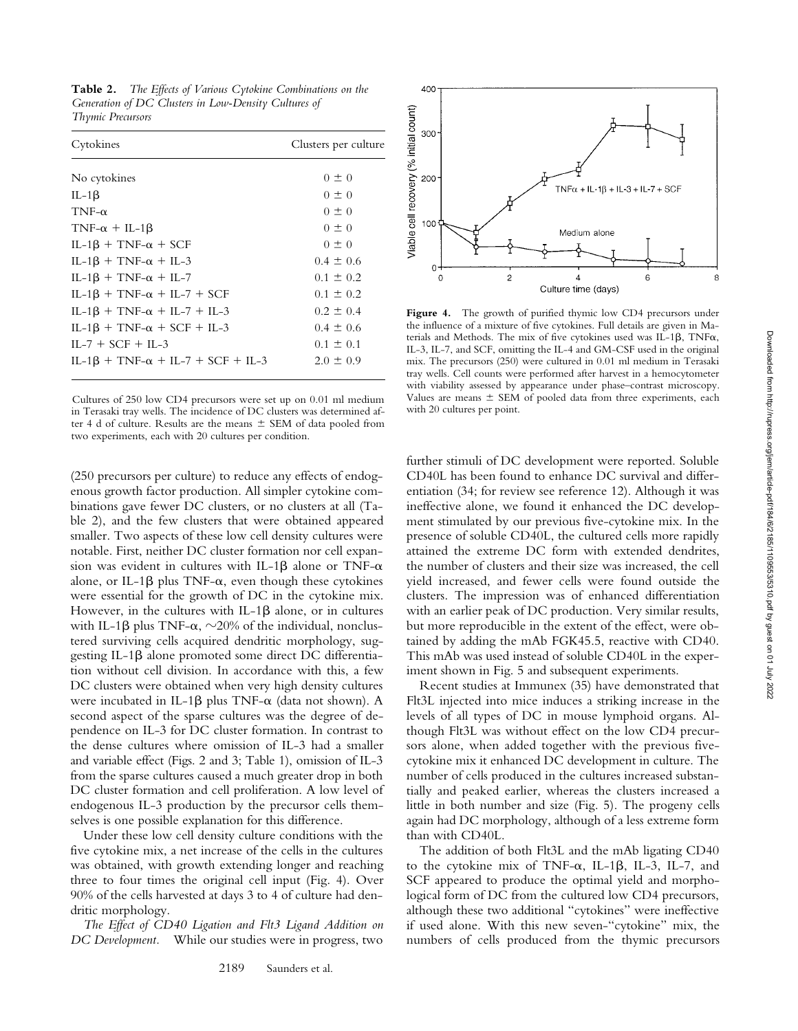**Table 2.** *The Effects of Various Cytokine Combinations on the Generation of DC Clusters in Low-Density Cultures of Thymic Precursors*

| Cytokines                                       | Clusters per culture |
|-------------------------------------------------|----------------------|
| No cytokines                                    | $0 \pm 0$            |
| IL-1 $\beta$                                    | $0 \pm 0$            |
| $TNF-\alpha$                                    | $0 \pm 0$            |
| $TNF-\alpha + IL-1\beta$                        | $0 \pm 0$            |
| $IL-1\beta + TNF-\alpha + SCF$                  | $0 \pm 0$            |
| $IL-1\beta + TNF-\alpha + IL-3$                 | $0.4 \pm 0.6$        |
| $IL-1\beta + TNF-\alpha + IL-7$                 | $0.1 \pm 0.2$        |
| $IL-1\beta + TNF-\alpha + IL-7 + SCF$           | $0.1 \pm 0.2$        |
| $IL-1\beta + TNF-\alpha + IL-7 + IL-3$          | $0.2 \pm 0.4$        |
| $IL-1\beta$ + TNF- $\alpha$ + SCF + IL-3        | $0.4 \pm 0.6$        |
| $IL-7 + SCF + IL-3$                             | $0.1 \pm 0.1$        |
| $IL-1\beta$ + TNF- $\alpha$ + IL-7 + SCF + IL-3 | $2.0 \pm 0.9$        |
|                                                 |                      |

Cultures of 250 low CD4 precursors were set up on 0.01 ml medium in Terasaki tray wells. The incidence of DC clusters was determined after 4 d of culture. Results are the means  $\pm$  SEM of data pooled from two experiments, each with 20 cultures per condition.

(250 precursors per culture) to reduce any effects of endogenous growth factor production. All simpler cytokine combinations gave fewer DC clusters, or no clusters at all (Table 2), and the few clusters that were obtained appeared smaller. Two aspects of these low cell density cultures were notable. First, neither DC cluster formation nor cell expansion was evident in cultures with IL-1 $\beta$  alone or TNF- $\alpha$ alone, or IL-1 $\beta$  plus TNF- $\alpha$ , even though these cytokines were essential for the growth of DC in the cytokine mix. However, in the cultures with IL-1 $\beta$  alone, or in cultures with IL-1 $\beta$  plus TNF- $\alpha$ ,  $\sim$ 20% of the individual, nonclustered surviving cells acquired dendritic morphology, suggesting IL-1b alone promoted some direct DC differentiation without cell division. In accordance with this, a few DC clusters were obtained when very high density cultures were incubated in IL-1 $\beta$  plus TNF- $\alpha$  (data not shown). A second aspect of the sparse cultures was the degree of dependence on IL-3 for DC cluster formation. In contrast to the dense cultures where omission of IL-3 had a smaller and variable effect (Figs. 2 and 3; Table 1), omission of IL-3 from the sparse cultures caused a much greater drop in both DC cluster formation and cell proliferation. A low level of endogenous IL-3 production by the precursor cells themselves is one possible explanation for this difference.

Under these low cell density culture conditions with the five cytokine mix, a net increase of the cells in the cultures was obtained, with growth extending longer and reaching three to four times the original cell input (Fig. 4). Over 90% of the cells harvested at days 3 to 4 of culture had dendritic morphology.

*The Effect of CD40 Ligation and Flt3 Ligand Addition on DC Development.* While our studies were in progress, two



**Figure 4.** The growth of purified thymic low CD4 precursors under the influence of a mixture of five cytokines. Full details are given in Materials and Methods. The mix of five cytokines used was IL-1 $\beta$ , TNF $\alpha$ , IL-3, IL-7, and SCF, omitting the IL-4 and GM-CSF used in the original mix. The precursors (250) were cultured in 0.01 ml medium in Terasaki tray wells. Cell counts were performed after harvest in a hemocytometer with viability assessed by appearance under phase–contrast microscopy. Values are means  $\pm$  SEM of pooled data from three experiments, each with 20 cultures per point.

further stimuli of DC development were reported. Soluble CD40L has been found to enhance DC survival and differentiation (34; for review see reference 12). Although it was ineffective alone, we found it enhanced the DC development stimulated by our previous five-cytokine mix. In the presence of soluble CD40L, the cultured cells more rapidly attained the extreme DC form with extended dendrites, the number of clusters and their size was increased, the cell yield increased, and fewer cells were found outside the clusters. The impression was of enhanced differentiation with an earlier peak of DC production. Very similar results, but more reproducible in the extent of the effect, were obtained by adding the mAb FGK45.5, reactive with CD40. This mAb was used instead of soluble CD40L in the experiment shown in Fig. 5 and subsequent experiments.

Recent studies at Immunex (35) have demonstrated that Flt3L injected into mice induces a striking increase in the levels of all types of DC in mouse lymphoid organs. Although Flt3L was without effect on the low CD4 precursors alone, when added together with the previous fivecytokine mix it enhanced DC development in culture. The number of cells produced in the cultures increased substantially and peaked earlier, whereas the clusters increased a little in both number and size (Fig. 5). The progeny cells again had DC morphology, although of a less extreme form than with CD40L.

The addition of both Flt3L and the mAb ligating CD40 to the cytokine mix of TNF- $\alpha$ , IL-1 $\beta$ , IL-3, IL-7, and SCF appeared to produce the optimal yield and morphological form of DC from the cultured low CD4 precursors, although these two additional "cytokines" were ineffective if used alone. With this new seven-"cytokine" mix, the numbers of cells produced from the thymic precursors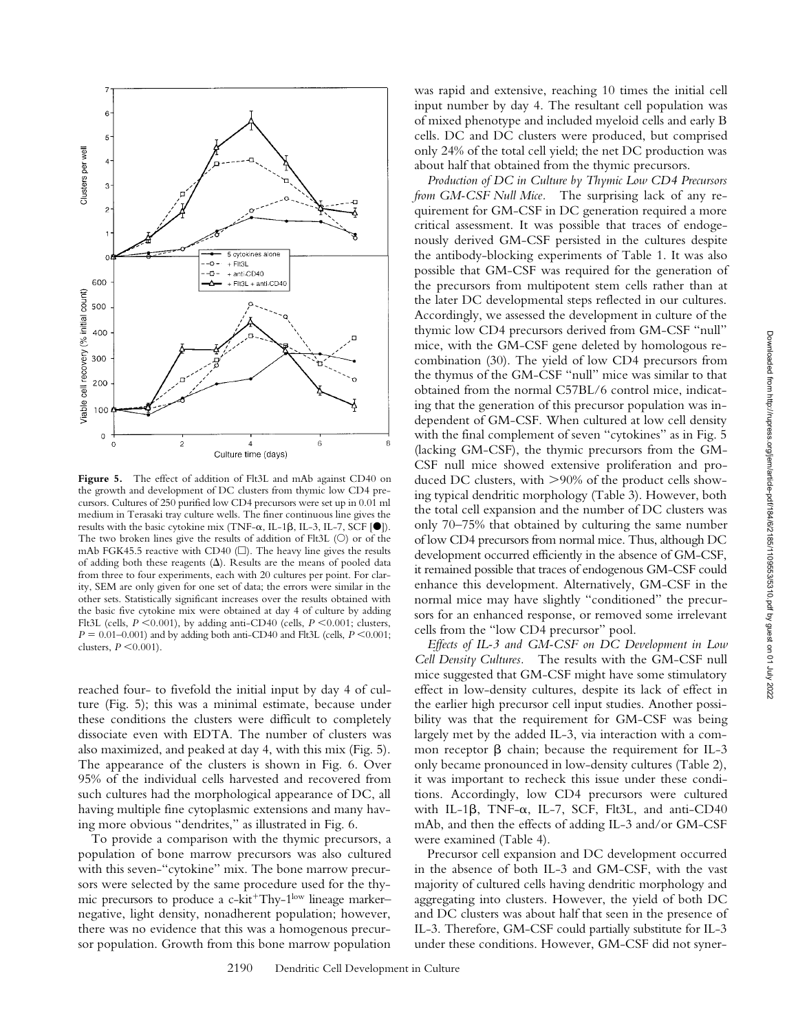

**Figure 5.** The effect of addition of Flt3L and mAb against CD40 on the growth and development of DC clusters from thymic low CD4 precursors. Cultures of 250 purified low CD4 precursors were set up in 0.01 ml medium in Terasaki tray culture wells. The finer continuous line gives the results with the basic cytokine mix (TNF- $\alpha$ , IL-1 $\beta$ , IL-3, IL-7, SCF  $[\bullet]$ ). The two broken lines give the results of addition of Flt3L  $(O)$  or of the mAb FGK45.5 reactive with CD40  $(\square)$ . The heavy line gives the results of adding both these reagents  $(\Delta)$ . Results are the means of pooled data from three to four experiments, each with 20 cultures per point. For clarity, SEM are only given for one set of data; the errors were similar in the other sets. Statistically significant increases over the results obtained with the basic five cytokine mix were obtained at day 4 of culture by adding Flt3L (cells,  $P \le 0.001$ ), by adding anti-CD40 (cells,  $P \le 0.001$ ; clusters,  $P = 0.01 - 0.001$ ) and by adding both anti-CD40 and Flt3L (cells,  $P \le 0.001$ ; clusters,  $P \le 0.001$ ).

reached four- to fivefold the initial input by day 4 of culture (Fig. 5); this was a minimal estimate, because under these conditions the clusters were difficult to completely dissociate even with EDTA. The number of clusters was also maximized, and peaked at day 4, with this mix (Fig. 5). The appearance of the clusters is shown in Fig. 6. Over 95% of the individual cells harvested and recovered from such cultures had the morphological appearance of DC, all having multiple fine cytoplasmic extensions and many having more obvious "dendrites," as illustrated in Fig. 6.

To provide a comparison with the thymic precursors, a population of bone marrow precursors was also cultured with this seven-"cytokine" mix. The bone marrow precursors were selected by the same procedure used for the thymic precursors to produce a c-kit<sup>+</sup>Thy-1<sup>low</sup> lineage marker– negative, light density, nonadherent population; however, there was no evidence that this was a homogenous precursor population. Growth from this bone marrow population

was rapid and extensive, reaching 10 times the initial cell input number by day 4. The resultant cell population was of mixed phenotype and included myeloid cells and early B cells. DC and DC clusters were produced, but comprised only 24% of the total cell yield; the net DC production was about half that obtained from the thymic precursors.

*Production of DC in Culture by Thymic Low CD4 Precursors from GM-CSF Null Mice.* The surprising lack of any requirement for GM-CSF in DC generation required a more critical assessment. It was possible that traces of endogenously derived GM-CSF persisted in the cultures despite the antibody-blocking experiments of Table 1. It was also possible that GM-CSF was required for the generation of the precursors from multipotent stem cells rather than at the later DC developmental steps reflected in our cultures. Accordingly, we assessed the development in culture of the thymic low CD4 precursors derived from GM-CSF "null" mice, with the GM-CSF gene deleted by homologous recombination (30). The yield of low CD4 precursors from the thymus of the GM-CSF "null" mice was similar to that obtained from the normal C57BL/6 control mice, indicating that the generation of this precursor population was independent of GM-CSF. When cultured at low cell density with the final complement of seven "cytokines" as in Fig. 5 (lacking GM-CSF), the thymic precursors from the GM-CSF null mice showed extensive proliferation and produced DC clusters, with  $>90\%$  of the product cells showing typical dendritic morphology (Table 3). However, both the total cell expansion and the number of DC clusters was only 70–75% that obtained by culturing the same number of low CD4 precursors from normal mice. Thus, although DC development occurred efficiently in the absence of GM-CSF, it remained possible that traces of endogenous GM-CSF could enhance this development. Alternatively, GM-CSF in the normal mice may have slightly "conditioned" the precursors for an enhanced response, or removed some irrelevant cells from the "low CD4 precursor" pool.

*Effects of IL-3 and GM-CSF on DC Development in Low Cell Density Cultures.* The results with the GM-CSF null mice suggested that GM-CSF might have some stimulatory effect in low-density cultures, despite its lack of effect in the earlier high precursor cell input studies. Another possibility was that the requirement for GM-CSF was being largely met by the added IL-3, via interaction with a common receptor  $\beta$  chain; because the requirement for IL-3 only became pronounced in low-density cultures (Table 2), it was important to recheck this issue under these conditions. Accordingly, low CD4 precursors were cultured with IL-1 $\beta$ , TNF- $\alpha$ , IL-7, SCF, Flt3L, and anti-CD40 mAb, and then the effects of adding IL-3 and/or GM-CSF were examined (Table 4).

Precursor cell expansion and DC development occurred in the absence of both IL-3 and GM-CSF, with the vast majority of cultured cells having dendritic morphology and aggregating into clusters. However, the yield of both DC and DC clusters was about half that seen in the presence of IL-3. Therefore, GM-CSF could partially substitute for IL-3 under these conditions. However, GM-CSF did not syner-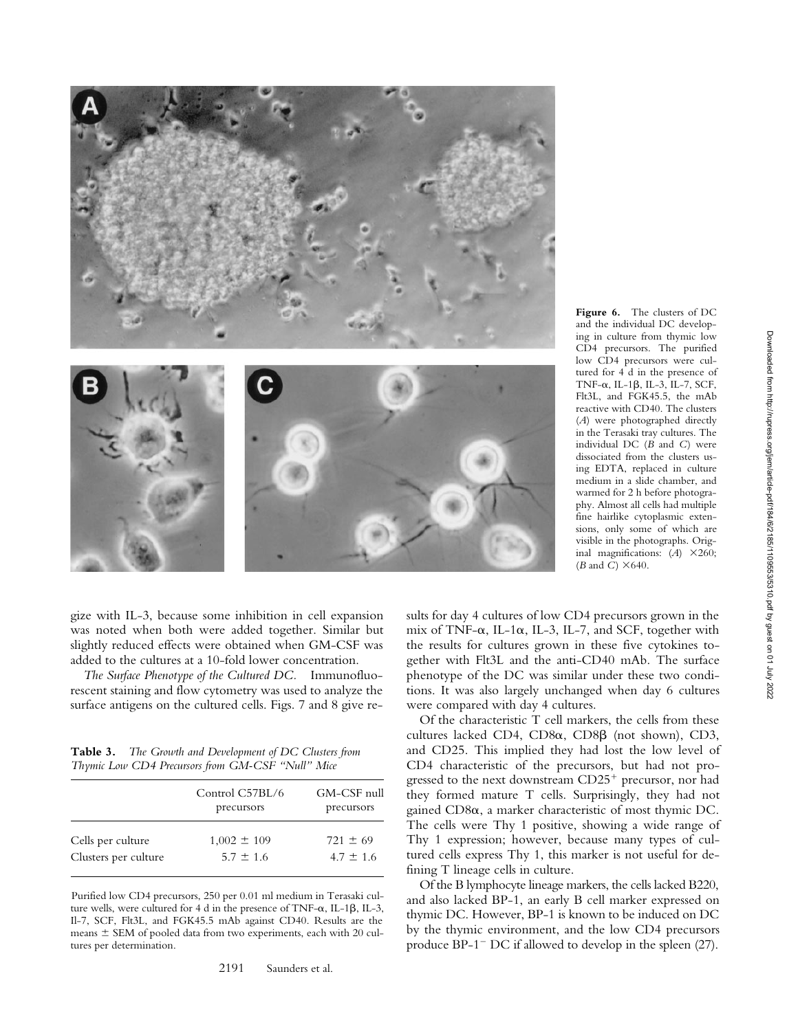

**Figure 6.** The clusters of DC and the individual DC developing in culture from thymic low CD4 precursors. The purified low CD4 precursors were cultured for 4 d in the presence of TNF- $\alpha$ , IL-1 $\beta$ , IL-3, IL-7, SCF, Flt3L, and FGK45.5, the mAb reactive with CD40. The clusters (*A*) were photographed directly in the Terasaki tray cultures. The individual DC (*B* and *C*) were dissociated from the clusters using EDTA, replaced in culture medium in a slide chamber, and warmed for 2 h before photography. Almost all cells had multiple fine hairlike cytoplasmic extensions, only some of which are visible in the photographs. Original magnifications:  $(A) \times 260$ ;  $(B \text{ and } C) \times 640.$ 

gize with IL-3, because some inhibition in cell expansion was noted when both were added together. Similar but slightly reduced effects were obtained when GM-CSF was added to the cultures at a 10-fold lower concentration.

*The Surface Phenotype of the Cultured DC.* Immunofluorescent staining and flow cytometry was used to analyze the surface antigens on the cultured cells. Figs. 7 and 8 give re-

**Table 3.** *The Growth and Development of DC Clusters from Thymic Low CD4 Precursors from GM-CSF "Null" Mice*

|                      | Control C57BL/6<br>precursors | GM-CSF null<br>precursors |
|----------------------|-------------------------------|---------------------------|
| Cells per culture    | $1,002 \pm 109$               | $721 \pm 69$              |
| Clusters per culture | $5.7 \pm 1.6$                 | $4.7 \pm 1.6$             |

Purified low CD4 precursors, 250 per 0.01 ml medium in Terasaki culture wells, were cultured for 4 d in the presence of TNF- $\alpha$ , IL-1 $\beta$ , IL-3, Il-7, SCF, Flt3L, and FGK45.5 mAb against CD40. Results are the means  $\pm$  SEM of pooled data from two experiments, each with 20 cultures per determination.

sults for day 4 cultures of low CD4 precursors grown in the mix of TNF- $\alpha$ , IL-1 $\alpha$ , IL-3, IL-7, and SCF, together with the results for cultures grown in these five cytokines together with Flt3L and the anti-CD40 mAb. The surface phenotype of the DC was similar under these two conditions. It was also largely unchanged when day 6 cultures were compared with day 4 cultures.

Of the characteristic T cell markers, the cells from these cultures lacked CD4,  $CD8\alpha$ ,  $CD8\beta$  (not shown),  $CD3$ , and CD25. This implied they had lost the low level of CD4 characteristic of the precursors, but had not progressed to the next downstream  $CD25<sup>+</sup>$  precursor, nor had they formed mature T cells. Surprisingly, they had not gained CD8a, a marker characteristic of most thymic DC. The cells were Thy 1 positive, showing a wide range of Thy 1 expression; however, because many types of cultured cells express Thy 1, this marker is not useful for defining T lineage cells in culture.

Of the B lymphocyte lineage markers, the cells lacked B220, and also lacked BP-1, an early B cell marker expressed on thymic DC. However, BP-1 is known to be induced on DC by the thymic environment, and the low CD4 precursors produce  $BP-1$ <sup>-</sup> DC if allowed to develop in the spleen  $(27)$ .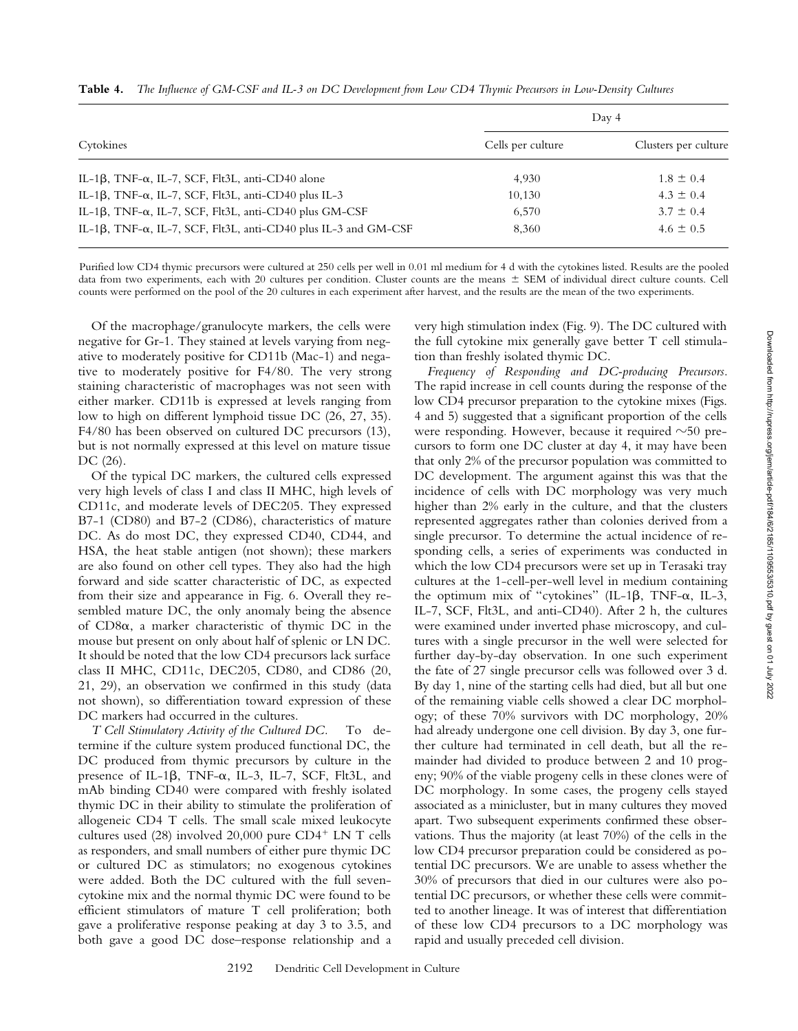|                                                                                 |                   | Day 4                |
|---------------------------------------------------------------------------------|-------------------|----------------------|
| Cytokines                                                                       | Cells per culture | Clusters per culture |
| IL-1 $\beta$ , TNF- $\alpha$ , IL-7, SCF, Flt3L, anti-CD40 alone                | 4.930             | $1.8 \pm 0.4$        |
| IL-1 $\beta$ , TNF- $\alpha$ , IL-7, SCF, Flt3L, anti-CD40 plus IL-3            | 10,130            | $4.3 \pm 0.4$        |
| IL-1 $\beta$ , TNF- $\alpha$ , IL-7, SCF, Flt3L, anti-CD40 plus GM-CSF          | 6,570             | $3.7 \pm 0.4$        |
| IL-1 $\beta$ , TNF- $\alpha$ , IL-7, SCF, Flt3L, anti-CD40 plus IL-3 and GM-CSF | 8.360             | $4.6 \pm 0.5$        |

**Table 4.** *The Influence of GM-CSF and IL-3 on DC Development from Low CD4 Thymic Precursors in Low-Density Cultures*

Purified low CD4 thymic precursors were cultured at 250 cells per well in 0.01 ml medium for 4 d with the cytokines listed. Results are the pooled data from two experiments, each with 20 cultures per condition. Cluster counts are the means  $\pm$  SEM of individual direct culture counts. Cell counts were performed on the pool of the 20 cultures in each experiment after harvest, and the results are the mean of the two experiments.

Of the macrophage/granulocyte markers, the cells were negative for Gr-1. They stained at levels varying from negative to moderately positive for CD11b (Mac-1) and negative to moderately positive for F4/80. The very strong staining characteristic of macrophages was not seen with either marker. CD11b is expressed at levels ranging from low to high on different lymphoid tissue DC (26, 27, 35). F4/80 has been observed on cultured DC precursors (13), but is not normally expressed at this level on mature tissue DC (26).

Of the typical DC markers, the cultured cells expressed very high levels of class I and class II MHC, high levels of CD11c, and moderate levels of DEC205. They expressed B7-1 (CD80) and B7-2 (CD86), characteristics of mature DC. As do most DC, they expressed CD40, CD44, and HSA, the heat stable antigen (not shown); these markers are also found on other cell types. They also had the high forward and side scatter characteristic of DC, as expected from their size and appearance in Fig. 6. Overall they resembled mature DC, the only anomaly being the absence of CD8a, a marker characteristic of thymic DC in the mouse but present on only about half of splenic or LN DC. It should be noted that the low CD4 precursors lack surface class II MHC, CD11c, DEC205, CD80, and CD86 (20, 21, 29), an observation we confirmed in this study (data not shown), so differentiation toward expression of these DC markers had occurred in the cultures.

*T Cell Stimulatory Activity of the Cultured DC.* To determine if the culture system produced functional DC, the DC produced from thymic precursors by culture in the presence of IL-1 $\beta$ , TNF- $\alpha$ , IL-3, IL-7, SCF, Flt3L, and mAb binding CD40 were compared with freshly isolated thymic DC in their ability to stimulate the proliferation of allogeneic CD4 T cells. The small scale mixed leukocyte cultures used (28) involved 20,000 pure  $CD4^+$  LN T cells as responders, and small numbers of either pure thymic DC or cultured DC as stimulators; no exogenous cytokines were added. Both the DC cultured with the full sevencytokine mix and the normal thymic DC were found to be efficient stimulators of mature T cell proliferation; both gave a proliferative response peaking at day 3 to 3.5, and both gave a good DC dose–response relationship and a very high stimulation index (Fig. 9). The DC cultured with the full cytokine mix generally gave better T cell stimulation than freshly isolated thymic DC.

*Frequency of Responding and DC-producing Precursors.* The rapid increase in cell counts during the response of the low CD4 precursor preparation to the cytokine mixes (Figs. 4 and 5) suggested that a significant proportion of the cells were responding. However, because it required  $\sim 50$  precursors to form one DC cluster at day 4, it may have been that only 2% of the precursor population was committed to DC development. The argument against this was that the incidence of cells with DC morphology was very much higher than 2% early in the culture, and that the clusters represented aggregates rather than colonies derived from a single precursor. To determine the actual incidence of responding cells, a series of experiments was conducted in which the low CD4 precursors were set up in Terasaki tray cultures at the 1-cell-per-well level in medium containing the optimum mix of "cytokines" (IL-1 $\beta$ , TNF- $\alpha$ , IL-3, IL-7, SCF, Flt3L, and anti-CD40). After 2 h, the cultures were examined under inverted phase microscopy, and cultures with a single precursor in the well were selected for further day-by-day observation. In one such experiment the fate of 27 single precursor cells was followed over 3 d. By day 1, nine of the starting cells had died, but all but one of the remaining viable cells showed a clear DC morphology; of these 70% survivors with DC morphology, 20% had already undergone one cell division. By day 3, one further culture had terminated in cell death, but all the remainder had divided to produce between 2 and 10 progeny; 90% of the viable progeny cells in these clones were of DC morphology. In some cases, the progeny cells stayed associated as a minicluster, but in many cultures they moved apart. Two subsequent experiments confirmed these observations. Thus the majority (at least 70%) of the cells in the low CD4 precursor preparation could be considered as potential DC precursors. We are unable to assess whether the 30% of precursors that died in our cultures were also potential DC precursors, or whether these cells were committed to another lineage. It was of interest that differentiation of these low CD4 precursors to a DC morphology was rapid and usually preceded cell division.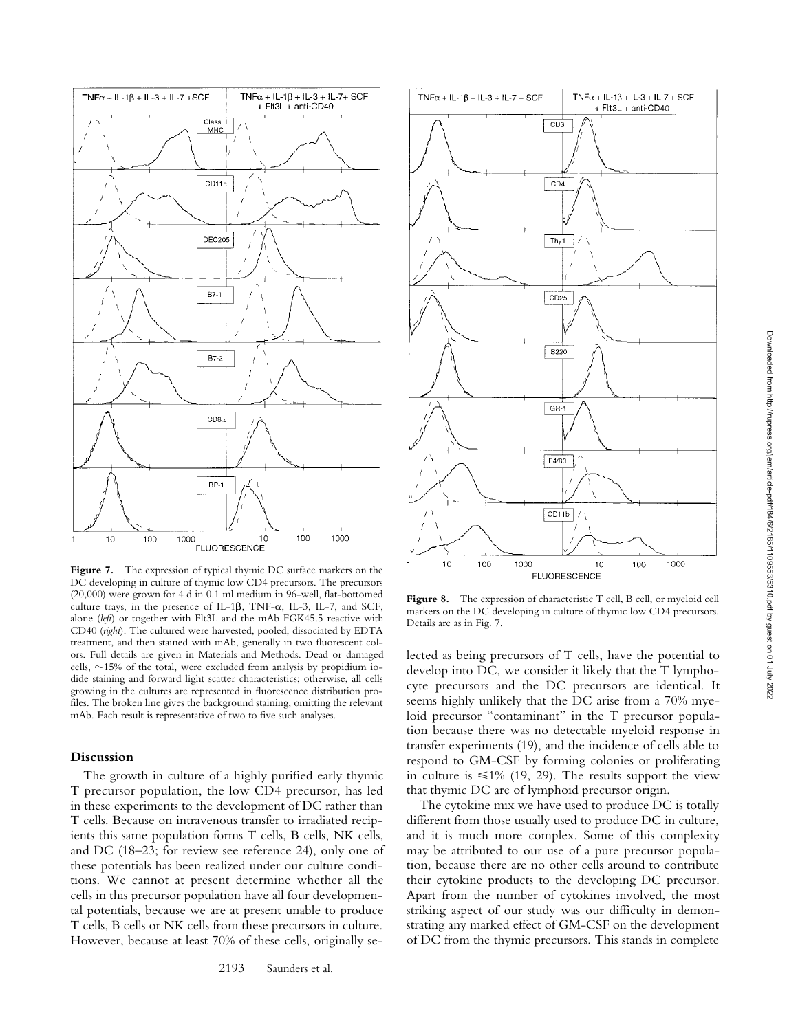

Figure 7. The expression of typical thymic DC surface markers on the DC developing in culture of thymic low CD4 precursors. The precursors (20,000) were grown for 4 d in 0.1 ml medium in 96-well, flat-bottomed culture trays, in the presence of IL-1 $\beta$ , TNF- $\alpha$ , IL-3, IL-7, and SCF, alone (*left*) or together with Flt3L and the mAb FGK45.5 reactive with CD40 (*right*). The cultured were harvested, pooled, dissociated by EDTA treatment, and then stained with mAb, generally in two fluorescent colors. Full details are given in Materials and Methods. Dead or damaged cells,  $\sim$ 15% of the total, were excluded from analysis by propidium iodide staining and forward light scatter characteristics; otherwise, all cells growing in the cultures are represented in fluorescence distribution profiles. The broken line gives the background staining, omitting the relevant mAb. Each result is representative of two to five such analyses.

# **Discussion**

The growth in culture of a highly purified early thymic T precursor population, the low CD4 precursor, has led in these experiments to the development of DC rather than T cells. Because on intravenous transfer to irradiated recipients this same population forms T cells, B cells, NK cells, and DC (18–23; for review see reference 24), only one of these potentials has been realized under our culture conditions. We cannot at present determine whether all the cells in this precursor population have all four developmental potentials, because we are at present unable to produce T cells, B cells or NK cells from these precursors in culture. However, because at least 70% of these cells, originally se-



Figure 8. The expression of characteristic T cell, B cell, or myeloid cell markers on the DC developing in culture of thymic low CD4 precursors. Details are as in Fig. 7.

lected as being precursors of T cells, have the potential to develop into DC, we consider it likely that the T lymphocyte precursors and the DC precursors are identical. It seems highly unlikely that the DC arise from a 70% myeloid precursor "contaminant" in the T precursor population because there was no detectable myeloid response in transfer experiments (19), and the incidence of cells able to respond to GM-CSF by forming colonies or proliferating in culture is  $\leq 1\%$  (19, 29). The results support the view that thymic DC are of lymphoid precursor origin.

The cytokine mix we have used to produce DC is totally different from those usually used to produce DC in culture, and it is much more complex. Some of this complexity may be attributed to our use of a pure precursor population, because there are no other cells around to contribute their cytokine products to the developing DC precursor. Apart from the number of cytokines involved, the most striking aspect of our study was our difficulty in demonstrating any marked effect of GM-CSF on the development of DC from the thymic precursors. This stands in complete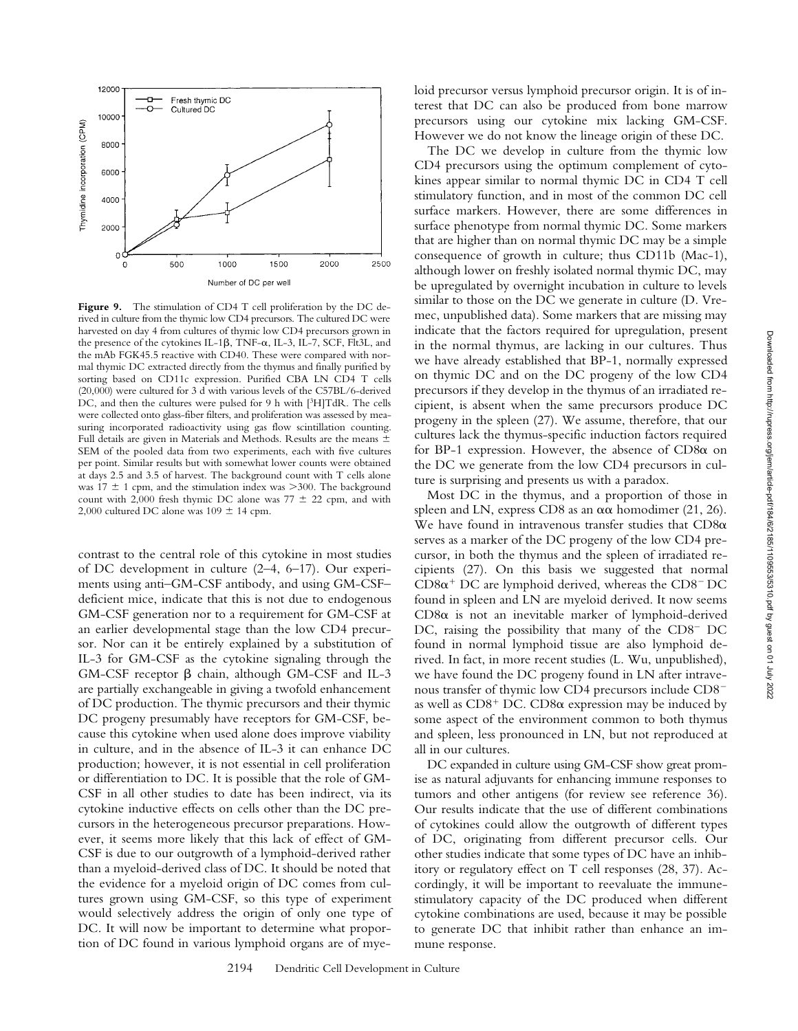

Figure 9. The stimulation of CD4 T cell proliferation by the DC derived in culture from the thymic low CD4 precursors. The cultured DC were harvested on day 4 from cultures of thymic low CD4 precursors grown in the presence of the cytokines IL-1 $\beta$ , TNF- $\alpha$ , IL-3, IL-7, SCF, Flt3L, and the mAb FGK45.5 reactive with CD40. These were compared with normal thymic DC extracted directly from the thymus and finally purified by sorting based on CD11c expression. Purified CBA LN CD4 T cells (20,000) were cultured for 3 d with various levels of the C57BL/6-derived DC, and then the cultures were pulsed for 9 h with [3H]TdR. The cells were collected onto glass-fiber filters, and proliferation was assessed by measuring incorporated radioactivity using gas flow scintillation counting. Full details are given in Materials and Methods. Results are the means  $\pm$ SEM of the pooled data from two experiments, each with five cultures per point. Similar results but with somewhat lower counts were obtained at days 2.5 and 3.5 of harvest. The background count with T cells alone was 17  $\pm$  1 cpm, and the stimulation index was  $>$ 300. The background count with 2,000 fresh thymic DC alone was 77  $\pm$  22 cpm, and with 2,000 cultured DC alone was 109  $\pm$  14 cpm.

contrast to the central role of this cytokine in most studies of DC development in culture (2–4, 6–17). Our experiments using anti–GM-CSF antibody, and using GM-CSF– deficient mice, indicate that this is not due to endogenous GM-CSF generation nor to a requirement for GM-CSF at an earlier developmental stage than the low CD4 precursor. Nor can it be entirely explained by a substitution of IL-3 for GM-CSF as the cytokine signaling through the  $GM-CSF$  receptor  $\beta$  chain, although GM-CSF and IL-3 are partially exchangeable in giving a twofold enhancement of DC production. The thymic precursors and their thymic DC progeny presumably have receptors for GM-CSF, because this cytokine when used alone does improve viability in culture, and in the absence of IL-3 it can enhance DC production; however, it is not essential in cell proliferation or differentiation to DC. It is possible that the role of GM-CSF in all other studies to date has been indirect, via its cytokine inductive effects on cells other than the DC precursors in the heterogeneous precursor preparations. However, it seems more likely that this lack of effect of GM-CSF is due to our outgrowth of a lymphoid-derived rather than a myeloid-derived class of DC. It should be noted that the evidence for a myeloid origin of DC comes from cultures grown using GM-CSF, so this type of experiment would selectively address the origin of only one type of DC. It will now be important to determine what proportion of DC found in various lymphoid organs are of myeloid precursor versus lymphoid precursor origin. It is of interest that DC can also be produced from bone marrow precursors using our cytokine mix lacking GM-CSF. However we do not know the lineage origin of these DC.

The DC we develop in culture from the thymic low CD4 precursors using the optimum complement of cytokines appear similar to normal thymic DC in CD4 T cell stimulatory function, and in most of the common DC cell surface markers. However, there are some differences in surface phenotype from normal thymic DC. Some markers that are higher than on normal thymic DC may be a simple consequence of growth in culture; thus CD11b (Mac-1), although lower on freshly isolated normal thymic DC, may be upregulated by overnight incubation in culture to levels similar to those on the DC we generate in culture (D. Vremec, unpublished data). Some markers that are missing may indicate that the factors required for upregulation, present in the normal thymus, are lacking in our cultures. Thus we have already established that BP-1, normally expressed on thymic DC and on the DC progeny of the low CD4 precursors if they develop in the thymus of an irradiated recipient, is absent when the same precursors produce DC progeny in the spleen (27). We assume, therefore, that our cultures lack the thymus-specific induction factors required for BP-1 expression. However, the absence of  $CD8\alpha$  on the DC we generate from the low CD4 precursors in culture is surprising and presents us with a paradox.

Most DC in the thymus, and a proportion of those in spleen and LN, express CD8 as an  $\alpha\alpha$  homodimer (21, 26). We have found in intravenous transfer studies that  $CD8\alpha$ serves as a marker of the DC progeny of the low CD4 precursor, in both the thymus and the spleen of irradiated recipients (27). On this basis we suggested that normal  $CD8\alpha^+$  DC are lymphoid derived, whereas the  $CD8^-$  DC found in spleen and LN are myeloid derived. It now seems  $CD8\alpha$  is not an inevitable marker of lymphoid-derived DC, raising the possibility that many of the  $CD8^-$  DC found in normal lymphoid tissue are also lymphoid derived. In fact, in more recent studies (L. Wu, unpublished), we have found the DC progeny found in LN after intravenous transfer of thymic low CD4 precursors include CD8<sup>-</sup> as well as  $CD8^+$  DC.  $CD8\alpha$  expression may be induced by some aspect of the environment common to both thymus and spleen, less pronounced in LN, but not reproduced at all in our cultures.

DC expanded in culture using GM-CSF show great promise as natural adjuvants for enhancing immune responses to tumors and other antigens (for review see reference 36). Our results indicate that the use of different combinations of cytokines could allow the outgrowth of different types of DC, originating from different precursor cells. Our other studies indicate that some types of DC have an inhibitory or regulatory effect on T cell responses (28, 37). Accordingly, it will be important to reevaluate the immunestimulatory capacity of the DC produced when different cytokine combinations are used, because it may be possible to generate DC that inhibit rather than enhance an immune response.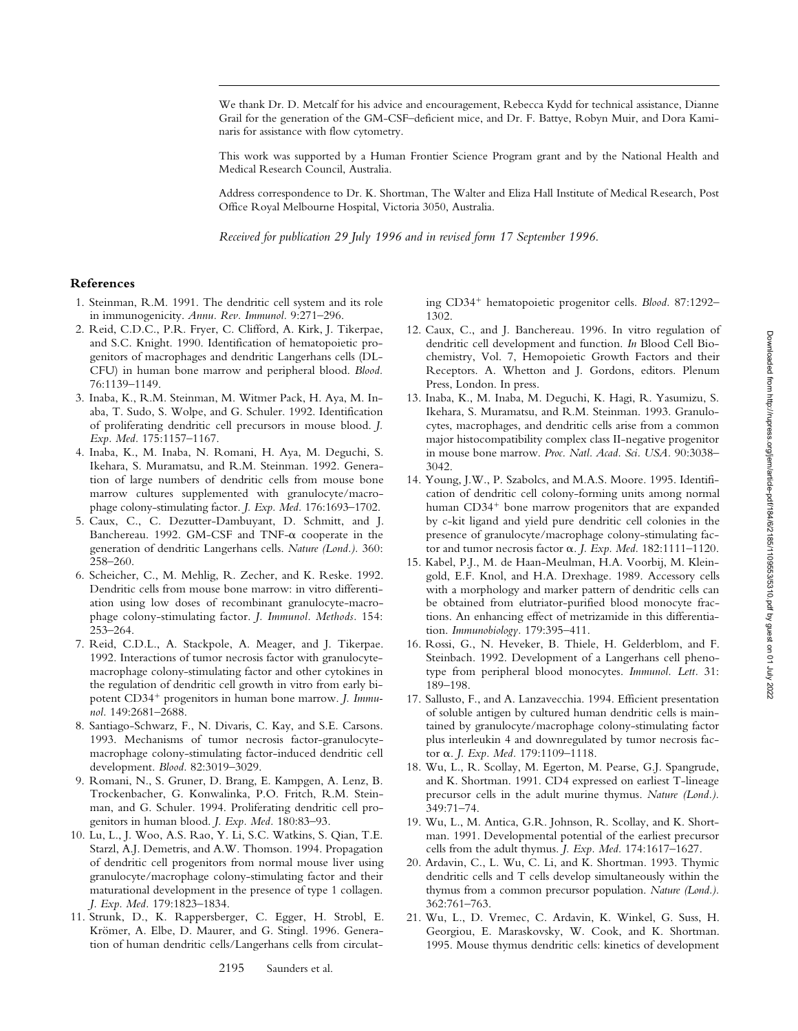We thank Dr. D. Metcalf for his advice and encouragement, Rebecca Kydd for technical assistance, Dianne Grail for the generation of the GM-CSF–deficient mice, and Dr. F. Battye, Robyn Muir, and Dora Kaminaris for assistance with flow cytometry.

This work was supported by a Human Frontier Science Program grant and by the National Health and Medical Research Council, Australia.

Address correspondence to Dr. K. Shortman, The Walter and Eliza Hall Institute of Medical Research, Post Office Royal Melbourne Hospital, Victoria 3050, Australia.

*Received for publication 29 July 1996 and in revised form 17 September 1996.*

### **References**

- 1. Steinman, R.M. 1991. The dendritic cell system and its role in immunogenicity. *Annu. Rev. Immunol.* 9:271–296.
- 2. Reid, C.D.C., P.R. Fryer, C. Clifford, A. Kirk, J. Tikerpae, and S.C. Knight. 1990. Identification of hematopoietic progenitors of macrophages and dendritic Langerhans cells (DL-CFU) in human bone marrow and peripheral blood. *Blood.* 76:1139–1149.
- 3. Inaba, K., R.M. Steinman, M. Witmer Pack, H. Aya, M. Inaba, T. Sudo, S. Wolpe, and G. Schuler. 1992. Identification of proliferating dendritic cell precursors in mouse blood. *J. Exp. Med.* 175:1157–1167.
- 4. Inaba, K., M. Inaba, N. Romani, H. Aya, M. Deguchi, S. Ikehara, S. Muramatsu, and R.M. Steinman. 1992. Generation of large numbers of dendritic cells from mouse bone marrow cultures supplemented with granulocyte/macrophage colony-stimulating factor. *J. Exp. Med.* 176:1693–1702.
- 5. Caux, C., C. Dezutter-Dambuyant, D. Schmitt, and J. Banchereau. 1992. GM-CSF and TNF- $\alpha$  cooperate in the generation of dendritic Langerhans cells. *Nature (Lond.).* 360: 258–260.
- 6. Scheicher, C., M. Mehlig, R. Zecher, and K. Reske. 1992. Dendritic cells from mouse bone marrow: in vitro differentiation using low doses of recombinant granulocyte-macrophage colony-stimulating factor. *J. Immunol. Methods.* 154: 253–264.
- 7. Reid, C.D.L., A. Stackpole, A. Meager, and J. Tikerpae. 1992. Interactions of tumor necrosis factor with granulocytemacrophage colony-stimulating factor and other cytokines in the regulation of dendritic cell growth in vitro from early bipotent CD34<sup>+</sup> progenitors in human bone marrow. *J. Immunol.* 149:2681–2688.
- 8. Santiago-Schwarz, F., N. Divaris, C. Kay, and S.E. Carsons. 1993. Mechanisms of tumor necrosis factor-granulocytemacrophage colony-stimulating factor-induced dendritic cell development. *Blood.* 82:3019–3029.
- 9. Romani, N., S. Gruner, D. Brang, E. Kampgen, A. Lenz, B. Trockenbacher, G. Konwalinka, P.O. Fritch, R.M. Steinman, and G. Schuler. 1994. Proliferating dendritic cell progenitors in human blood. *J. Exp. Med.* 180:83–93.
- 10. Lu, L., J. Woo, A.S. Rao, Y. Li, S.C. Watkins, S. Qian, T.E. Starzl, A.J. Demetris, and A.W. Thomson. 1994. Propagation of dendritic cell progenitors from normal mouse liver using granulocyte/macrophage colony-stimulating factor and their maturational development in the presence of type 1 collagen. *J. Exp. Med.* 179:1823–1834.
- 11. Strunk, D., K. Rappersberger, C. Egger, H. Strobl, E. Krömer, A. Elbe, D. Maurer, and G. Stingl. 1996. Generation of human dendritic cells/Langerhans cells from circulat-

ing CD34<sup>+</sup> hematopoietic progenitor cells. *Blood.* 87:1292– 1302.

- 12. Caux, C., and J. Banchereau. 1996. In vitro regulation of dendritic cell development and function. *In* Blood Cell Biochemistry, Vol. 7, Hemopoietic Growth Factors and their Receptors. A. Whetton and J. Gordons, editors. Plenum Press, London. In press.
- 13. Inaba, K., M. Inaba, M. Deguchi, K. Hagi, R. Yasumizu, S. Ikehara, S. Muramatsu, and R.M. Steinman. 1993. Granulocytes, macrophages, and dendritic cells arise from a common major histocompatibility complex class II-negative progenitor in mouse bone marrow. *Proc. Natl. Acad. Sci. USA.* 90:3038– 3042.
- 14. Young, J.W., P. Szabolcs, and M.A.S. Moore. 1995. Identification of dendritic cell colony-forming units among normal human CD34<sup>+</sup> bone marrow progenitors that are expanded by c-kit ligand and yield pure dendritic cell colonies in the presence of granulocyte/macrophage colony-stimulating factor and tumor necrosis factor a. *J. Exp. Med.* 182:1111–1120.
- 15. Kabel, P.J., M. de Haan-Meulman, H.A. Voorbij, M. Kleingold, E.F. Knol, and H.A. Drexhage. 1989. Accessory cells with a morphology and marker pattern of dendritic cells can be obtained from elutriator-purified blood monocyte fractions. An enhancing effect of metrizamide in this differentiation. *Immunobiology.* 179:395–411.
- 16. Rossi, G., N. Heveker, B. Thiele, H. Gelderblom, and F. Steinbach. 1992. Development of a Langerhans cell phenotype from peripheral blood monocytes. *Immunol. Lett.* 31: 189–198.
- 17. Sallusto, F., and A. Lanzavecchia. 1994. Efficient presentation of soluble antigen by cultured human dendritic cells is maintained by granulocyte/macrophage colony-stimulating factor plus interleukin 4 and downregulated by tumor necrosis factor a. *J. Exp. Med.* 179:1109–1118.
- 18. Wu, L., R. Scollay, M. Egerton, M. Pearse, G.J. Spangrude, and K. Shortman. 1991. CD4 expressed on earliest T-lineage precursor cells in the adult murine thymus. *Nature (Lond.).* 349:71–74.
- 19. Wu, L., M. Antica, G.R. Johnson, R. Scollay, and K. Shortman. 1991. Developmental potential of the earliest precursor cells from the adult thymus. *J. Exp. Med.* 174:1617–1627.
- 20. Ardavin, C., L. Wu, C. Li, and K. Shortman. 1993. Thymic dendritic cells and T cells develop simultaneously within the thymus from a common precursor population. *Nature (Lond.).* 362:761–763.
- 21. Wu, L., D. Vremec, C. Ardavin, K. Winkel, G. Suss, H. Georgiou, E. Maraskovsky, W. Cook, and K. Shortman. 1995. Mouse thymus dendritic cells: kinetics of development